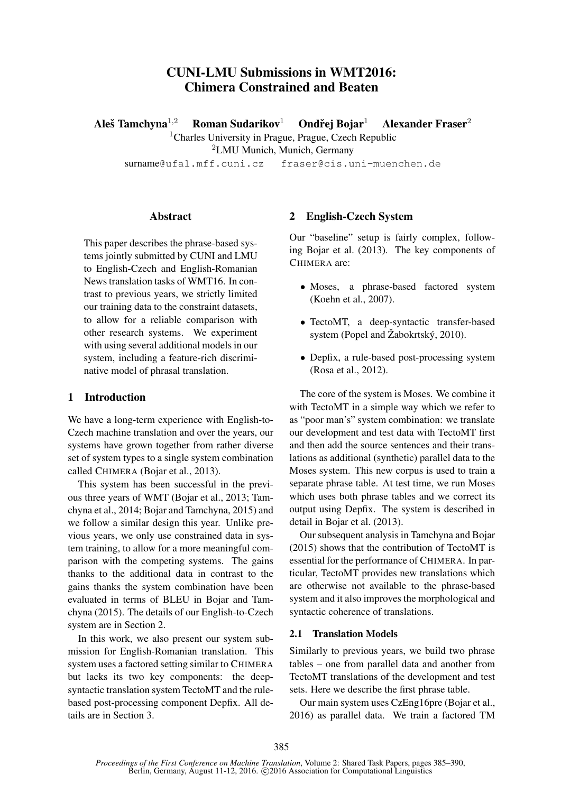# CUNI-LMU Submissions in WMT2016: Chimera Constrained and Beaten

Aleš Tamchyna $^{1,2}$ Roman Sudarikov<sup>1</sup> Ondřej Bojar<sup>1</sup> Alexander Fraser $2$ <sup>1</sup>Charles University in Prague, Prague, Czech Republic

<sup>2</sup>LMU Munich, Munich, Germany

surname@ufal.mff.cuni.cz fraser@cis.uni-muenchen.de

### **Abstract**

This paper describes the phrase-based systems jointly submitted by CUNI and LMU to English-Czech and English-Romanian News translation tasks of WMT16. In contrast to previous years, we strictly limited our training data to the constraint datasets, to allow for a reliable comparison with other research systems. We experiment with using several additional models in our system, including a feature-rich discriminative model of phrasal translation.

## 1 Introduction

We have a long-term experience with English-to-Czech machine translation and over the years, our systems have grown together from rather diverse set of system types to a single system combination called CHIMERA (Bojar et al., 2013).

This system has been successful in the previous three years of WMT (Bojar et al., 2013; Tamchyna et al., 2014; Bojar and Tamchyna, 2015) and we follow a similar design this year. Unlike previous years, we only use constrained data in system training, to allow for a more meaningful comparison with the competing systems. The gains thanks to the additional data in contrast to the gains thanks the system combination have been evaluated in terms of BLEU in Bojar and Tamchyna (2015). The details of our English-to-Czech system are in Section 2.

In this work, we also present our system submission for English-Romanian translation. This system uses a factored setting similar to CHIMERA but lacks its two key components: the deepsyntactic translation system TectoMT and the rulebased post-processing component Depfix. All details are in Section 3.

## 2 English-Czech System

Our "baseline" setup is fairly complex, following Bojar et al. (2013). The key components of CHIMERA are:

- Moses, a phrase-based factored system (Koehn et al., 2007).
- TectoMT, a deep-syntactic transfer-based system (Popel and Žabokrtský, 2010).
- Depfix, a rule-based post-processing system (Rosa et al., 2012).

The core of the system is Moses. We combine it with TectoMT in a simple way which we refer to as "poor man's" system combination: we translate our development and test data with TectoMT first and then add the source sentences and their translations as additional (synthetic) parallel data to the Moses system. This new corpus is used to train a separate phrase table. At test time, we run Moses which uses both phrase tables and we correct its output using Depfix. The system is described in detail in Bojar et al. (2013).

Our subsequent analysis in Tamchyna and Bojar (2015) shows that the contribution of TectoMT is essential for the performance of CHIMERA. In particular, TectoMT provides new translations which are otherwise not available to the phrase-based system and it also improves the morphological and syntactic coherence of translations.

#### 2.1 Translation Models

Similarly to previous years, we build two phrase tables – one from parallel data and another from TectoMT translations of the development and test sets. Here we describe the first phrase table.

Our main system uses CzEng16pre (Bojar et al., 2016) as parallel data. We train a factored TM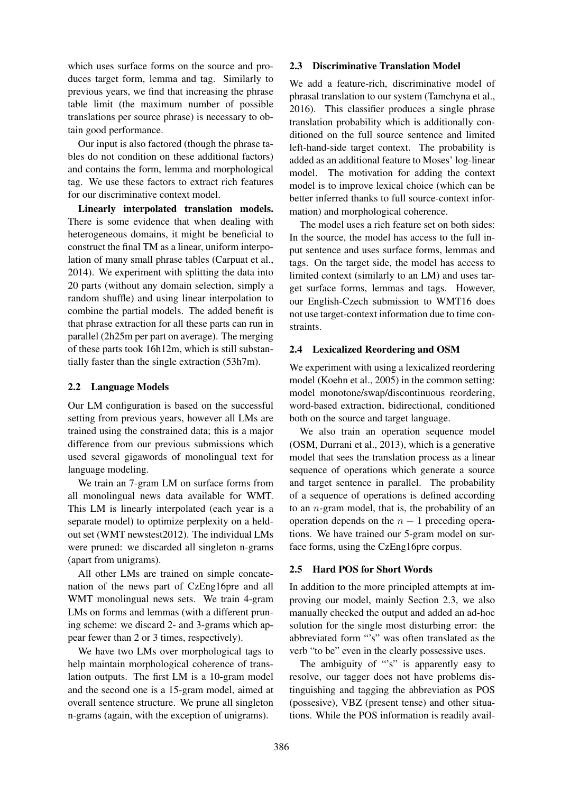which uses surface forms on the source and produces target form, lemma and tag. Similarly to previous years, we find that increasing the phrase table limit (the maximum number of possible translations per source phrase) is necessary to obtain good performance.

Our input is also factored (though the phrase tables do not condition on these additional factors) and contains the form, lemma and morphological tag. We use these factors to extract rich features for our discriminative context model.

Linearly interpolated translation models. There is some evidence that when dealing with heterogeneous domains, it might be beneficial to construct the final TM as a linear, uniform interpolation of many small phrase tables (Carpuat et al., 2014). We experiment with splitting the data into 20 parts (without any domain selection, simply a random shuffle) and using linear interpolation to combine the partial models. The added benefit is that phrase extraction for all these parts can run in parallel (2h25m per part on average). The merging of these parts took 16h12m, which is still substantially faster than the single extraction (53h7m).

## 2.2 Language Models

Our LM configuration is based on the successful setting from previous years, however all LMs are trained using the constrained data; this is a major difference from our previous submissions which used several gigawords of monolingual text for language modeling.

We train an 7-gram LM on surface forms from all monolingual news data available for WMT. This LM is linearly interpolated (each year is a separate model) to optimize perplexity on a heldout set (WMT newstest2012). The individual LMs were pruned: we discarded all singleton n-grams (apart from unigrams).

All other LMs are trained on simple concatenation of the news part of CzEng16pre and all WMT monolingual news sets. We train 4-gram LMs on forms and lemmas (with a different pruning scheme: we discard 2- and 3-grams which appear fewer than 2 or 3 times, respectively).

We have two LMs over morphological tags to help maintain morphological coherence of translation outputs. The first LM is a 10-gram model and the second one is a 15-gram model, aimed at overall sentence structure. We prune all singleton n-grams (again, with the exception of unigrams).

#### 2.3 Discriminative Translation Model

We add a feature-rich, discriminative model of phrasal translation to our system (Tamchyna et al., 2016). This classifier produces a single phrase translation probability which is additionally conditioned on the full source sentence and limited left-hand-side target context. The probability is added as an additional feature to Moses' log-linear model. The motivation for adding the context model is to improve lexical choice (which can be better inferred thanks to full source-context information) and morphological coherence.

The model uses a rich feature set on both sides: In the source, the model has access to the full input sentence and uses surface forms, lemmas and tags. On the target side, the model has access to limited context (similarly to an LM) and uses target surface forms, lemmas and tags. However, our English-Czech submission to WMT16 does not use target-context information due to time constraints.

## 2.4 Lexicalized Reordering and OSM

We experiment with using a lexicalized reordering model (Koehn et al., 2005) in the common setting: model monotone/swap/discontinuous reordering, word-based extraction, bidirectional, conditioned both on the source and target language.

We also train an operation sequence model (OSM, Durrani et al., 2013), which is a generative model that sees the translation process as a linear sequence of operations which generate a source and target sentence in parallel. The probability of a sequence of operations is defined according to an  $n$ -gram model, that is, the probability of an operation depends on the  $n - 1$  preceding operations. We have trained our 5-gram model on surface forms, using the CzEng16pre corpus.

#### 2.5 Hard POS for Short Words

In addition to the more principled attempts at improving our model, mainly Section 2.3, we also manually checked the output and added an ad-hoc solution for the single most disturbing error: the abbreviated form "'s" was often translated as the verb "to be" even in the clearly possessive uses.

The ambiguity of "'s" is apparently easy to resolve, our tagger does not have problems distinguishing and tagging the abbreviation as POS (possesive), VBZ (present tense) and other situations. While the POS information is readily avail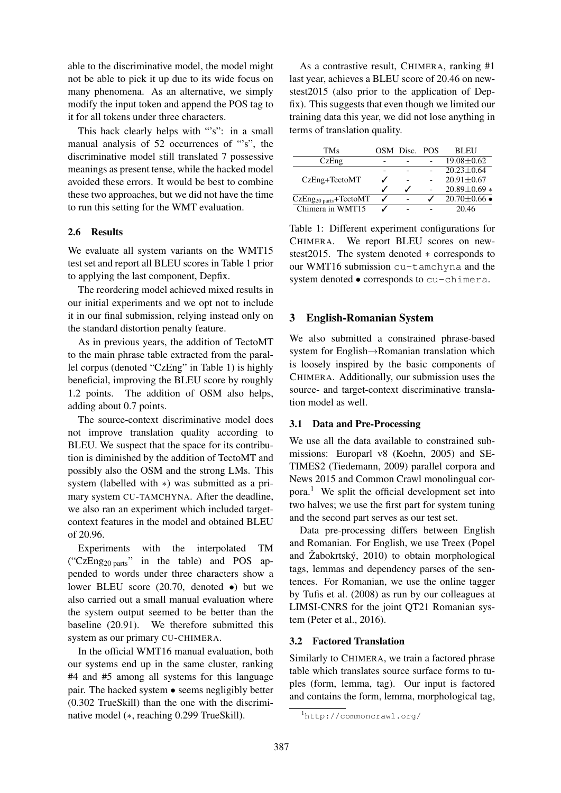able to the discriminative model, the model might not be able to pick it up due to its wide focus on many phenomena. As an alternative, we simply modify the input token and append the POS tag to it for all tokens under three characters.

This hack clearly helps with "'s": in a small manual analysis of 52 occurrences of "'s", the discriminative model still translated 7 possessive meanings as present tense, while the hacked model avoided these errors. It would be best to combine these two approaches, but we did not have the time to run this setting for the WMT evaluation.

#### 2.6 Results

We evaluate all system variants on the WMT15 test set and report all BLEU scores in Table 1 prior to applying the last component, Depfix.

The reordering model achieved mixed results in our initial experiments and we opt not to include it in our final submission, relying instead only on the standard distortion penalty feature.

As in previous years, the addition of TectoMT to the main phrase table extracted from the parallel corpus (denoted "CzEng" in Table 1) is highly beneficial, improving the BLEU score by roughly 1.2 points. The addition of OSM also helps, adding about 0.7 points.

The source-context discriminative model does not improve translation quality according to BLEU. We suspect that the space for its contribution is diminished by the addition of TectoMT and possibly also the OSM and the strong LMs. This system (labelled with ∗) was submitted as a primary system CU-TAMCHYNA. After the deadline, we also ran an experiment which included targetcontext features in the model and obtained BLEU of 20.96.

Experiments with the interpolated TM ("CzEng20 parts" in the table) and POS appended to words under three characters show a lower BLEU score (20.70, denoted •) but we also carried out a small manual evaluation where the system output seemed to be better than the baseline (20.91). We therefore submitted this system as our primary CU-CHIMERA.

In the official WMT16 manual evaluation, both our systems end up in the same cluster, ranking #4 and #5 among all systems for this language pair. The hacked system • seems negligibly better (0.302 TrueSkill) than the one with the discriminative model (∗, reaching 0.299 TrueSkill).

As a contrastive result, CHIMERA, ranking #1 last year, achieves a BLEU score of 20.46 on newstest2015 (also prior to the application of Depfix). This suggests that even though we limited our training data this year, we did not lose anything in terms of translation quality.

| TMs                                        |   | OSM Disc. POS | <b>BLEU</b>                |
|--------------------------------------------|---|---------------|----------------------------|
| CzEng                                      |   |               | $19.08 \pm 0.62$           |
| CzEng+TectoMT                              |   |               | $20.23 + 0.64$             |
|                                            |   |               | $20.91 \pm 0.67$           |
|                                            |   |               | $20.89 \pm 0.69$ *         |
| $CzEng_{20\text{ parts}} + \text{TectoMT}$ | ℐ |               | $20.70 \pm 0.66$ $\bullet$ |
| Chimera in WMT15                           |   |               | 20.46                      |

Table 1: Different experiment configurations for CHIMERA. We report BLEU scores on newstest2015. The system denoted ∗ corresponds to our WMT16 submission cu-tamchyna and the system denoted • corresponds to cu-chimera.

## 3 English-Romanian System

We also submitted a constrained phrase-based system for English→Romanian translation which is loosely inspired by the basic components of CHIMERA. Additionally, our submission uses the source- and target-context discriminative translation model as well.

### 3.1 Data and Pre-Processing

We use all the data available to constrained submissions: Europarl v8 (Koehn, 2005) and SE-TIMES2 (Tiedemann, 2009) parallel corpora and News 2015 and Common Crawl monolingual corpora.<sup>1</sup> We split the official development set into two halves; we use the first part for system tuning and the second part serves as our test set.

Data pre-processing differs between English and Romanian. For English, we use Treex (Popel and  $\check{Z}$ abokrtský, 2010) to obtain morphological tags, lemmas and dependency parses of the sentences. For Romanian, we use the online tagger by Tufis et al. (2008) as run by our colleagues at LIMSI-CNRS for the joint QT21 Romanian system (Peter et al., 2016).

#### 3.2 Factored Translation

Similarly to CHIMERA, we train a factored phrase table which translates source surface forms to tuples (form, lemma, tag). Our input is factored and contains the form, lemma, morphological tag,

<sup>1</sup>http://commoncrawl.org/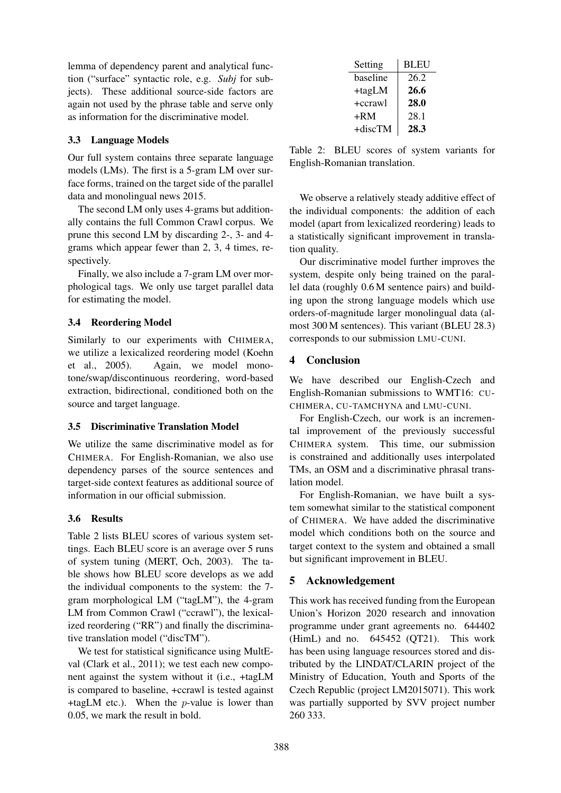lemma of dependency parent and analytical function ("surface" syntactic role, e.g. *Subj* for subjects). These additional source-side factors are again not used by the phrase table and serve only as information for the discriminative model.

## 3.3 Language Models

Our full system contains three separate language models (LMs). The first is a 5-gram LM over surface forms, trained on the target side of the parallel data and monolingual news 2015.

The second LM only uses 4-grams but additionally contains the full Common Crawl corpus. We prune this second LM by discarding 2-, 3- and 4 grams which appear fewer than 2, 3, 4 times, respectively.

Finally, we also include a 7-gram LM over morphological tags. We only use target parallel data for estimating the model.

## 3.4 Reordering Model

Similarly to our experiments with CHIMERA, we utilize a lexicalized reordering model (Koehn et al., 2005). Again, we model monotone/swap/discontinuous reordering, word-based extraction, bidirectional, conditioned both on the source and target language.

## 3.5 Discriminative Translation Model

We utilize the same discriminative model as for CHIMERA. For English-Romanian, we also use dependency parses of the source sentences and target-side context features as additional source of information in our official submission.

## 3.6 Results

Table 2 lists BLEU scores of various system settings. Each BLEU score is an average over 5 runs of system tuning (MERT, Och, 2003). The table shows how BLEU score develops as we add the individual components to the system: the 7 gram morphological LM ("tagLM"), the 4-gram LM from Common Crawl ("ccrawl"), the lexicalized reordering ("RR") and finally the discriminative translation model ("discTM").

We test for statistical significance using MultEval (Clark et al., 2011); we test each new component against the system without it (i.e., +tagLM is compared to baseline, +ccrawl is tested against +tagLM etc.). When the  $p$ -value is lower than 0.05, we mark the result in bold.

| Setting   | <b>BLEU</b> |  |  |
|-----------|-------------|--|--|
| baseline  | 26.2        |  |  |
| +tagLM    | 26.6        |  |  |
| $+ccrawl$ | 28.0        |  |  |
| +RM       | 28.1        |  |  |
| +discTM   | 28.3        |  |  |

Table 2: BLEU scores of system variants for English-Romanian translation.

We observe a relatively steady additive effect of the individual components: the addition of each model (apart from lexicalized reordering) leads to a statistically significant improvement in translation quality.

Our discriminative model further improves the system, despite only being trained on the parallel data (roughly 0.6 M sentence pairs) and building upon the strong language models which use orders-of-magnitude larger monolingual data (almost 300 M sentences). This variant (BLEU 28.3) corresponds to our submission LMU-CUNI.

# 4 Conclusion

We have described our English-Czech and English-Romanian submissions to WMT16: CU-CHIMERA, CU-TAMCHYNA and LMU-CUNI.

For English-Czech, our work is an incremental improvement of the previously successful CHIMERA system. This time, our submission is constrained and additionally uses interpolated TMs, an OSM and a discriminative phrasal translation model.

For English-Romanian, we have built a system somewhat similar to the statistical component of CHIMERA. We have added the discriminative model which conditions both on the source and target context to the system and obtained a small but significant improvement in BLEU.

# 5 Acknowledgement

This work has received funding from the European Union's Horizon 2020 research and innovation programme under grant agreements no. 644402 (HimL) and no. 645452 (QT21). This work has been using language resources stored and distributed by the LINDAT/CLARIN project of the Ministry of Education, Youth and Sports of the Czech Republic (project LM2015071). This work was partially supported by SVV project number 260 333.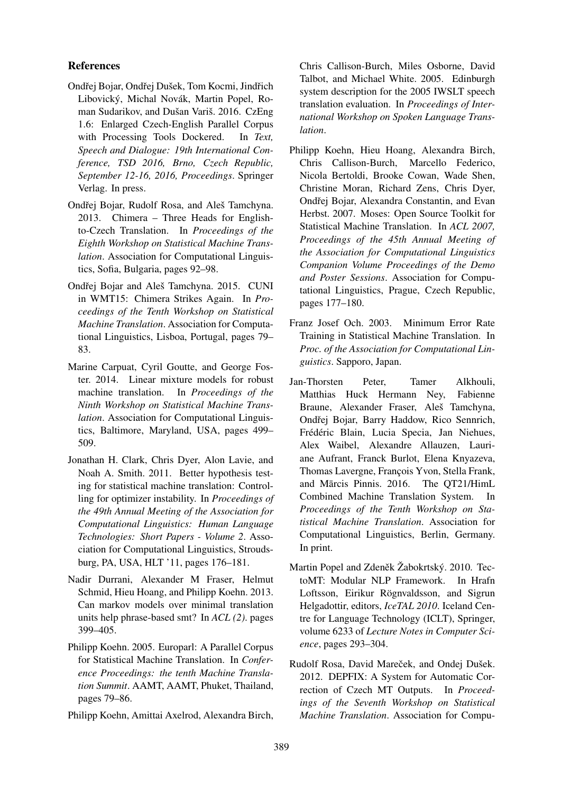## References

- Ondřej Bojar, Ondřej Dušek, Tom Kocmi, Jindřich Libovický, Michal Novák, Martin Popel, Roman Sudarikov, and Dušan Variš. 2016. CzEng 1.6: Enlarged Czech-English Parallel Corpus with Processing Tools Dockered. In *Text, Speech and Dialogue: 19th International Conference, TSD 2016, Brno, Czech Republic, September 12-16, 2016, Proceedings*. Springer Verlag. In press.
- Ondřej Bojar, Rudolf Rosa, and Aleš Tamchyna. 2013. Chimera – Three Heads for Englishto-Czech Translation. In *Proceedings of the Eighth Workshop on Statistical Machine Translation*. Association for Computational Linguistics, Sofia, Bulgaria, pages 92–98.
- Ondřej Bojar and Aleš Tamchyna. 2015. CUNI in WMT15: Chimera Strikes Again. In *Proceedings of the Tenth Workshop on Statistical Machine Translation*. Association for Computational Linguistics, Lisboa, Portugal, pages 79– 83.
- Marine Carpuat, Cyril Goutte, and George Foster. 2014. Linear mixture models for robust machine translation. In *Proceedings of the Ninth Workshop on Statistical Machine Translation*. Association for Computational Linguistics, Baltimore, Maryland, USA, pages 499– 509.
- Jonathan H. Clark, Chris Dyer, Alon Lavie, and Noah A. Smith. 2011. Better hypothesis testing for statistical machine translation: Controlling for optimizer instability. In *Proceedings of the 49th Annual Meeting of the Association for Computational Linguistics: Human Language Technologies: Short Papers - Volume 2*. Association for Computational Linguistics, Stroudsburg, PA, USA, HLT '11, pages 176–181.
- Nadir Durrani, Alexander M Fraser, Helmut Schmid, Hieu Hoang, and Philipp Koehn. 2013. Can markov models over minimal translation units help phrase-based smt? In *ACL (2)*. pages 399–405.
- Philipp Koehn. 2005. Europarl: A Parallel Corpus for Statistical Machine Translation. In *Conference Proceedings: the tenth Machine Translation Summit*. AAMT, AAMT, Phuket, Thailand, pages 79–86.
- Philipp Koehn, Amittai Axelrod, Alexandra Birch,

Chris Callison-Burch, Miles Osborne, David Talbot, and Michael White. 2005. Edinburgh system description for the 2005 IWSLT speech translation evaluation. In *Proceedings of International Workshop on Spoken Language Translation*.

- Philipp Koehn, Hieu Hoang, Alexandra Birch, Chris Callison-Burch, Marcello Federico, Nicola Bertoldi, Brooke Cowan, Wade Shen, Christine Moran, Richard Zens, Chris Dyer, Ondřej Bojar, Alexandra Constantin, and Evan Herbst. 2007. Moses: Open Source Toolkit for Statistical Machine Translation. In *ACL 2007, Proceedings of the 45th Annual Meeting of the Association for Computational Linguistics Companion Volume Proceedings of the Demo and Poster Sessions*. Association for Computational Linguistics, Prague, Czech Republic, pages 177–180.
- Franz Josef Och. 2003. Minimum Error Rate Training in Statistical Machine Translation. In *Proc. of the Association for Computational Linguistics*. Sapporo, Japan.
- Jan-Thorsten Peter, Tamer Alkhouli, Matthias Huck Hermann Ney, Fabienne Braune, Alexander Fraser, Aleš Tamchyna, Ondřej Bojar, Barry Haddow, Rico Sennrich, Frédéric Blain, Lucia Specia, Jan Niehues, Alex Waibel, Alexandre Allauzen, Lauriane Aufrant, Franck Burlot, Elena Knyazeva, Thomas Lavergne, François Yvon, Stella Frank, and Mārcis Pinnis. 2016. The OT21/HimL Combined Machine Translation System. In *Proceedings of the Tenth Workshop on Statistical Machine Translation*. Association for Computational Linguistics, Berlin, Germany. In print.
- Martin Popel and Zdeněk Žabokrtský. 2010. TectoMT: Modular NLP Framework. In Hrafn Loftsson, Eirikur Rögnvaldsson, and Sigrun Helgadottir, editors, *IceTAL 2010*. Iceland Centre for Language Technology (ICLT), Springer, volume 6233 of *Lecture Notes in Computer Science*, pages 293–304.
- Rudolf Rosa, David Mareček, and Ondej Dušek. 2012. DEPFIX: A System for Automatic Correction of Czech MT Outputs. In *Proceedings of the Seventh Workshop on Statistical Machine Translation*. Association for Compu-